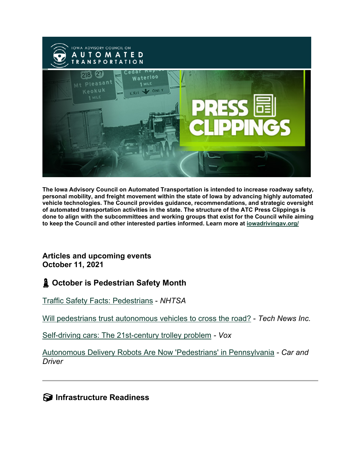

**The Iowa Advisory Council on Automated Transportation is intended to increase roadway safety, personal mobility, and freight movement within the state of Iowa by advancing highly automated vehicle technologies. The Council provides guidance, recommendations, and strategic oversight of automated transportation activities in the state. The structure of the ATC Press Clippings is done to align with the subcommittees and working groups that exist for the Council while aiming to keep the Council and other interested parties informed. Learn more at [iowadrivingav.org/](https://iowadrivingav.org/?utm_medium=email&utm_source=govdelivery)**

#### **Articles and upcoming events October 11, 2021**

### **October is Pedestrian Safety Month**

[Traffic Safety Facts: Pedestrians](https://crashstats.nhtsa.dot.gov/Api/Public/ViewPublication/813079?utm_medium=email&utm_source=govdelivery) - *NHTSA*

[Will pedestrians trust autonomous vehicles to cross the road?](https://technewsinc.com/will-pedestrians-trust-autonomous-vehicles-to-cross-the-road/?utm_medium=email&utm_source=govdelivery) - *Tech News Inc.*

[Self-driving cars: The 21st-century trolley problem](https://www.vox.com/recode/22700022/self-driving-autonomous-cars-trolley-problem-waymo-google-tesla?utm_medium=email&utm_source=govdelivery) *- Vox*

[Autonomous Delivery Robots Are Now 'Pedestrians' in Pennsylvania](https://www.caranddriver.com/news/a35756202/autonomous-delivery-robots-pedestrians-law/?utm_medium=email&utm_source=govdelivery) *- Car and Driver*

**S** Infrastructure Readiness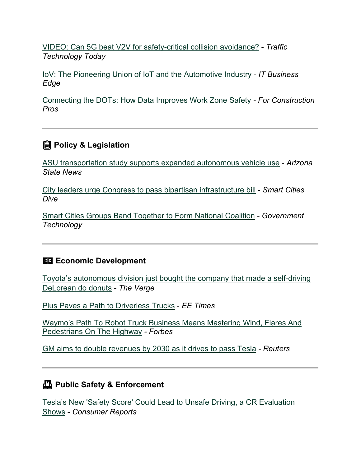[VIDEO: Can 5G beat V2V for safety-critical collision avoidance?](https://www.traffictechnologytoday.com/videos/video-cav-collision-avoidance-using-5g-and-v2v.html?utm_medium=email&utm_source=govdelivery) - *Traffic Technology Today*

[IoV: The Pioneering Union of IoT and the Automotive Industry](https://www.itbusinessedge.com/cloud/iov-iot/?utm_medium=email&utm_source=govdelivery) - *IT Business Edge*

[Connecting the DOTs: How Data Improves Work Zone Safety](https://www.forconstructionpros.com/asphalt/article/21590993/connecting-the-dots-how-data-improves-work-zone-safety?o_eid=2094C4454078H8G&oly_enc_id=2094C4454078H8G&om_id=1025771892&rdx.ident%5Bpull%5D=omeda%7C2094C4454078H8G&utm_campaign=HCL211001012&utm_medium=email&utm_source=govdelivery) *- For Construction Pros*

## **Policy & Legislation**

[ASU transportation study supports expanded autonomous vehicle use](https://news.asu.edu/20210922-asu-transportation-study-supports-expanded-autonomous-vehicle-use?utm_medium=email&utm_source=govdelivery) - *Arizona State News*

[City leaders urge Congress to pass bipartisan infrastructure bill](https://www.smartcitiesdive.com/news/city-leaders-urge-congress-to-pass-bipartisan-infrastructure-bill/607171/?utm_medium=email&utm_source=govdelivery) - *Smart Cities Dive*

[Smart Cities Groups Band Together to Form National Coalition](https://www.govtech.com/smart-cities/smart-cities-groups-band-together-to-form-national-coalition?utm_medium=email&utm_source=govdelivery) *- Government Technology*

#### **ED Economic Development**

[Toyota's autonomous division just bought the company that made a self-driving](https://www.theverge.com/2021/9/28/22698129/toyota-woven-planet-renovo-acquisition-av-operating-system?utm_medium=email&utm_source=govdelivery)  [DeLorean do donuts](https://www.theverge.com/2021/9/28/22698129/toyota-woven-planet-renovo-acquisition-av-operating-system?utm_medium=email&utm_source=govdelivery) - *The Verge*

[Plus Paves a Path to Driverless Trucks](https://www.eetimes.com/plus-paves-a-path-to-driverless-trucks/?utm_medium=email&utm_source=govdelivery) - *EE Times*

[Waymo's Path To Robot Truck Business Means Mastering Wind, Flares And](https://www.forbes.com/sites/alanohnsman/2021/10/01/waymos-path-to-robot-truck-business-means-mastering-wind-flares-and-pedestrians-on-the-highway?utm_medium=email&utm_source=govdelivery)  [Pedestrians On The Highway](https://www.forbes.com/sites/alanohnsman/2021/10/01/waymos-path-to-robot-truck-business-means-mastering-wind-flares-and-pedestrians-on-the-highway?utm_medium=email&utm_source=govdelivery) *- Forbes*

[GM aims to double revenues by 2030 as it drives to pass Tesla](https://www.reuters.com/business/autos-transportation/gm-aims-double-revenues-by-2030-it-drives-pass-tesla-2021-10-06/?utm_medium=email&utm_source=govdelivery) *- Reuters*

## **Public Safety & Enforcement**

[Tesla's New 'Safety Score' Could Lead to Unsafe Driving, a CR Evaluation](https://www.consumerreports.org/cars-driving/teslas-new-safety-score-could-lead-to-unsafe-driving-cr-eval-a3816355048/?utm_medium=email&utm_source=govdelivery)  [Shows](https://www.consumerreports.org/cars-driving/teslas-new-safety-score-could-lead-to-unsafe-driving-cr-eval-a3816355048/?utm_medium=email&utm_source=govdelivery) - *Consumer Reports*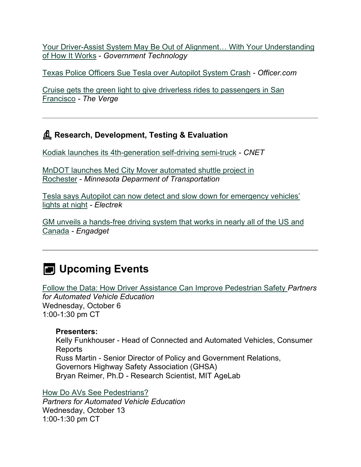[Your Driver-Assist System May Be Out of Alignment… With Your Understanding](https://www.govtech.com/fs/your-driver-assist-system-may-be-out-of-alignment-with-your-understanding-of-how-it-works?utm_medium=email&utm_source=govdelivery)  [of How It Works](https://www.govtech.com/fs/your-driver-assist-system-may-be-out-of-alignment-with-your-understanding-of-how-it-works?utm_medium=email&utm_source=govdelivery) - *Government Technology*

[Texas Police Officers Sue Tesla over Autopilot System Crash](https://www.officer.com/vehicles-fleet/vehicles-equipment/vehicles/news/21240368/texas-police-officers-sue-tesla-over-autopilot-system-crash?utm_medium=email&utm_source=govdelivery) *- Officer.com*

[Cruise gets the green light to give driverless rides to passengers in San](https://www.theverge.com/2021/9/30/22702962/cruise-waymo-california-dmv-autonomous-vehicle-permit?utm_medium=email&utm_source=govdelivery)  [Francisco](https://www.theverge.com/2021/9/30/22702962/cruise-waymo-california-dmv-autonomous-vehicle-permit?utm_medium=email&utm_source=govdelivery) *- The Verge*

## **Research, Development, Testing & Evaluation**

[Kodiak launches its 4th-generation self-driving semi-truck](https://www.cnet.com/roadshow/news/kodiak-autonomous-semi-truck-launched/?utm_medium=email&utm_source=govdelivery) - *CNET*

[MnDOT launches Med City Mover automated shuttle project in](https://www.dot.state.mn.us/news/2021/09/30-medcitymover.html?utm_medium=email&utm_source=govdelivery)  [Rochester](https://www.dot.state.mn.us/news/2021/09/30-medcitymover.html?utm_medium=email&utm_source=govdelivery) - *Minnesota Deparment of Transportation*

[Tesla says Autopilot can now detect and slow down for emergency vehicles'](https://electrek.co/2021/09/22/tesla-autopilot-can-detects-slows-down-emergency-vehicles-lights-night/?utm_medium=email&utm_source=govdelivery)  [lights at night](https://electrek.co/2021/09/22/tesla-autopilot-can-detects-slows-down-emergency-vehicles-lights-night/?utm_medium=email&utm_source=govdelivery) *- Electrek*

[GM unveils a hands-free driving system that works in nearly all of the US and](https://www.engadget.com/gm-unveils-a-hands-free-driving-system-that-works-in-nearly-all-of-the-us-and-canada-161752431.html?utm_medium=email&utm_source=govdelivery)  [Canada](https://www.engadget.com/gm-unveils-a-hands-free-driving-system-that-works-in-nearly-all-of-the-us-and-canada-161752431.html?utm_medium=email&utm_source=govdelivery) *- Engadget*

# **EXECUTE:** Upcoming Events

[Follow the Data: How Driver Assistance Can Improve Pedestrian Safety](https://pavecampaign.org/event/pave-virtual-panel-follow-the-data-how-driver-assistance-can-improve-pedestrian-safety/?utm_medium=email&utm_source=govdelivery) *Partners for Automated Vehicle Education* Wednesday, October 6 1:00-1:30 pm CT

#### **Presenters:**

Kelly Funkhouser - Head of Connected and Automated Vehicles, Consumer Reports Russ Martin - Senior Director of Policy and Government Relations, Governors Highway Safety Association (GHSA) Bryan Reimer, Ph.D - Research Scientist, MIT AgeLab

[How Do AVs See Pedestrians?](https://pavecampaign.org/event/pave-virtual-panel-how-do-avs-see-pedestrians/?utm_medium=email&utm_source=govdelivery)

*Partners for Automated Vehicle Education* Wednesday, October 13 1:00-1:30 pm CT